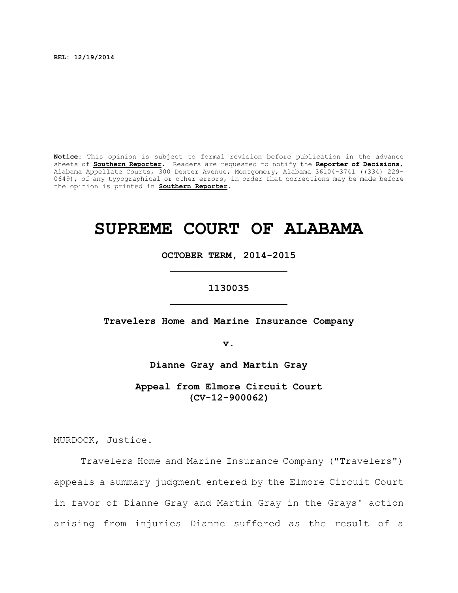**REL: 12/19/2014**

**Notice:** This opinion is subject to formal revision before publication in the advance sheets of **Southern Reporter**. Readers are requested to notify the **Reporter of Decisions**, Alabama Appellate Courts, 300 Dexter Avenue, Montgomery, Alabama 36104-3741 ((334) 229- 0649), of any typographical or other errors, in order that corrections may be made before the opinion is printed in **Southern Reporter**.

# **SUPREME COURT OF ALABAMA**

**OCTOBER TERM, 2014-2015 \_\_\_\_\_\_\_\_\_\_\_\_\_\_\_\_\_\_\_\_**

# **1130035 \_\_\_\_\_\_\_\_\_\_\_\_\_\_\_\_\_\_\_\_**

**Travelers Home and Marine Insurance Company**

**v.**

**Dianne Gray and Martin Gray**

**Appeal from Elmore Circuit Court (CV-12-900062)**

MURDOCK, Justice.

Travelers Home and Marine Insurance Company ("Travelers") appeals a summary judgment entered by the Elmore Circuit Court in favor of Dianne Gray and Martin Gray in the Grays' action arising from injuries Dianne suffered as the result of a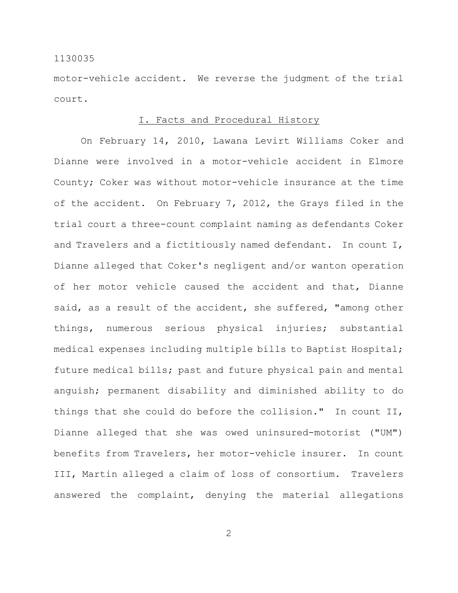motor-vehicle accident. We reverse the judgment of the trial court.

## I. Facts and Procedural History

On February 14, 2010, Lawana Levirt Williams Coker and Dianne were involved in a motor-vehicle accident in Elmore County; Coker was without motor-vehicle insurance at the time of the accident. On February 7, 2012, the Grays filed in the trial court a three-count complaint naming as defendants Coker and Travelers and a fictitiously named defendant. In count I, Dianne alleged that Coker's negligent and/or wanton operation of her motor vehicle caused the accident and that, Dianne said, as a result of the accident, she suffered, "among other things, numerous serious physical injuries; substantial medical expenses including multiple bills to Baptist Hospital; future medical bills; past and future physical pain and mental anguish; permanent disability and diminished ability to do things that she could do before the collision." In count II, Dianne alleged that she was owed uninsured-motorist ("UM") benefits from Travelers, her motor-vehicle insurer. In count III, Martin alleged a claim of loss of consortium. Travelers answered the complaint, denying the material allegations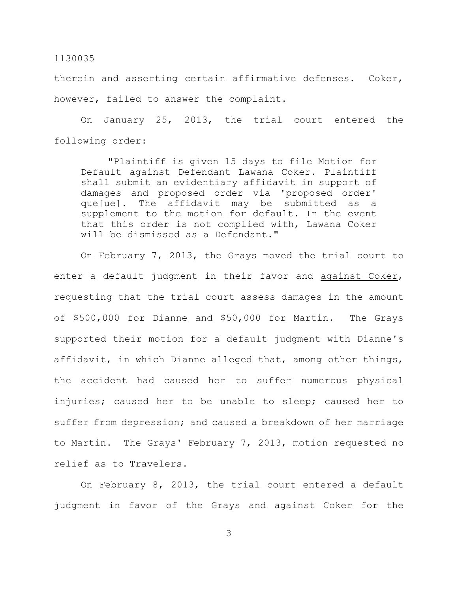therein and asserting certain affirmative defenses. Coker, however, failed to answer the complaint.

On January 25, 2013, the trial court entered the following order:

"Plaintiff is given 15 days to file Motion for Default against Defendant Lawana Coker. Plaintiff shall submit an evidentiary affidavit in support of damages and proposed order via 'proposed order' que[ue]. The affidavit may be submitted as a supplement to the motion for default. In the event that this order is not complied with, Lawana Coker will be dismissed as a Defendant."

On February 7, 2013, the Grays moved the trial court to enter a default judgment in their favor and against Coker, requesting that the trial court assess damages in the amount of \$500,000 for Dianne and \$50,000 for Martin. The Grays supported their motion for a default judgment with Dianne's affidavit, in which Dianne alleged that, among other things, the accident had caused her to suffer numerous physical injuries; caused her to be unable to sleep; caused her to suffer from depression; and caused a breakdown of her marriage to Martin. The Grays' February 7, 2013, motion requested no relief as to Travelers.

On February 8, 2013, the trial court entered a default judgment in favor of the Grays and against Coker for the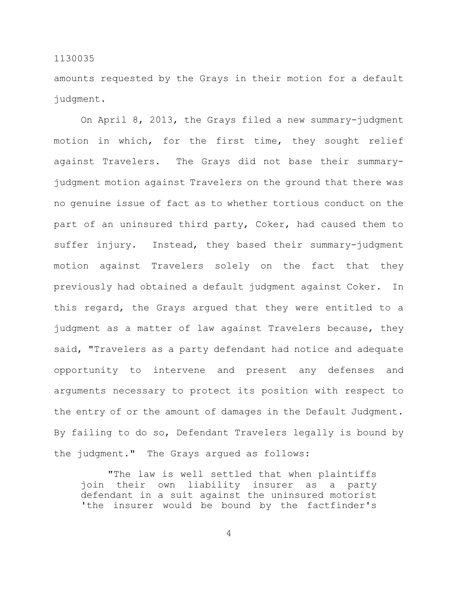amounts requested by the Grays in their motion for a default judgment.

On April 8, 2013, the Grays filed a new summary-judgment motion in which, for the first time, they sought relief against Travelers. The Grays did not base their summaryjudgment motion against Travelers on the ground that there was no genuine issue of fact as to whether tortious conduct on the part of an uninsured third party, Coker, had caused them to suffer injury. Instead, they based their summary-judgment motion against Travelers solely on the fact that they previously had obtained a default judgment against Coker. In this regard, the Grays argued that they were entitled to a judgment as a matter of law against Travelers because, they said, "Travelers as a party defendant had notice and adequate opportunity to intervene and present any defenses and arguments necessary to protect its position with respect to the entry of or the amount of damages in the Default Judgment. By failing to do so, Defendant Travelers legally is bound by the judgment." The Grays argued as follows:

"The law is well settled that when plaintiffs join their own liability insurer as a party defendant in a suit against the uninsured motorist 'the insurer would be bound by the factfinder's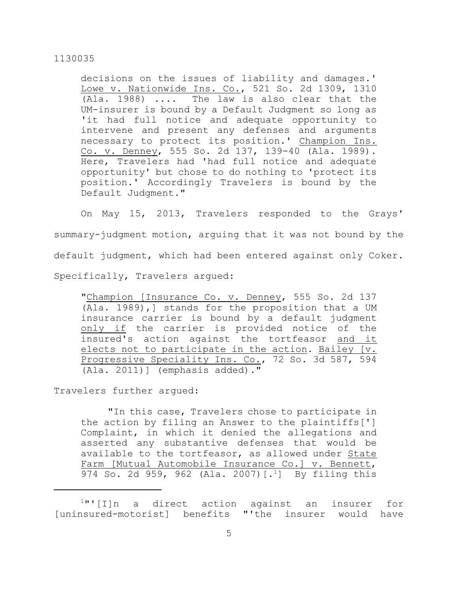decisions on the issues of liability and damages.' Lowe v. Nationwide Ins. Co., 521 So. 2d 1309, 1310 (Ala. 1988) .... The law is also clear that the UM-insurer is bound by a Default Judgment so long as 'it had full notice and adequate opportunity to intervene and present any defenses and arguments necessary to protect its position.' Champion Ins. Co. v. Denney, 555 So. 2d 137, 139-40 (Ala. 1989). Here, Travelers had 'had full notice and adequate opportunity' but chose to do nothing to 'protect its position.' Accordingly Travelers is bound by the Default Judgment."

On May 15, 2013, Travelers responded to the Grays' summary-judgment motion, arguing that it was not bound by the default judgment, which had been entered against only Coker. Specifically, Travelers argued:

"Champion [Insurance Co. v. Denney, 555 So. 2d 137 (Ala. 1989),] stands for the proposition that a UM insurance carrier is bound by a default judgment only if the carrier is provided notice of the insured's action against the tortfeasor and it elects not to participate in the action. Bailey [v. Progressive Speciality Ins. Co., 72 So. 3d 587, 594 (Ala. 2011)] (emphasis added)."

Travelers further argued:

"In this case, Travelers chose to participate in the action by filing an Answer to the plaintiffs['] Complaint, in which it denied the allegations and asserted any substantive defenses that would be available to the tortfeasor, as allowed under State Farm [Mutual Automobile Insurance Co.] v. Bennett, 974 So. 2d 959, 962 (Ala. 2007)  $[.]$  By filing this

 $1$ "'[I]n a direct action against an insurer for [uninsured-motorist] benefits "'the insurer would have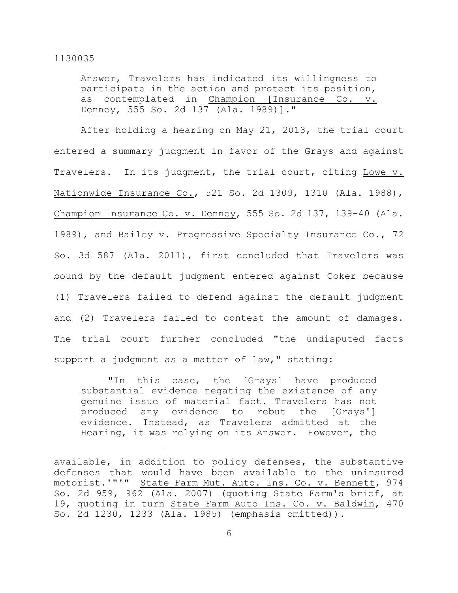Answer, Travelers has indicated its willingness to participate in the action and protect its position, as contemplated in Champion [Insurance Co. v. Denney, 555 So. 2d 137 (Ala. 1989)]."

After holding a hearing on May 21, 2013, the trial court entered a summary judgment in favor of the Grays and against Travelers. In its judgment, the trial court, citing Lowe v. Nationwide Insurance Co., 521 So. 2d 1309, 1310 (Ala. 1988), Champion Insurance Co. v. Denney, 555 So. 2d 137, 139-40 (Ala. 1989), and Bailey v. Progressive Specialty Insurance Co., 72 So. 3d 587 (Ala. 2011), first concluded that Travelers was bound by the default judgment entered against Coker because (1) Travelers failed to defend against the default judgment and (2) Travelers failed to contest the amount of damages. The trial court further concluded "the undisputed facts support a judgment as a matter of law," stating:

"In this case, the [Grays] have produced substantial evidence negating the existence of any genuine issue of material fact. Travelers has not produced any evidence to rebut the [Grays'] evidence. Instead, as Travelers admitted at the Hearing, it was relying on its Answer. However, the

available, in addition to policy defenses, the substantive defenses that would have been available to the uninsured motorist.'"'" State Farm Mut. Auto. Ins. Co. v. Bennett, 974 So. 2d 959, 962 (Ala. 2007) (quoting State Farm's brief, at 19, quoting in turn State Farm Auto Ins. Co. v. Baldwin, 470 So. 2d 1230, 1233 (Ala. 1985) (emphasis omitted)).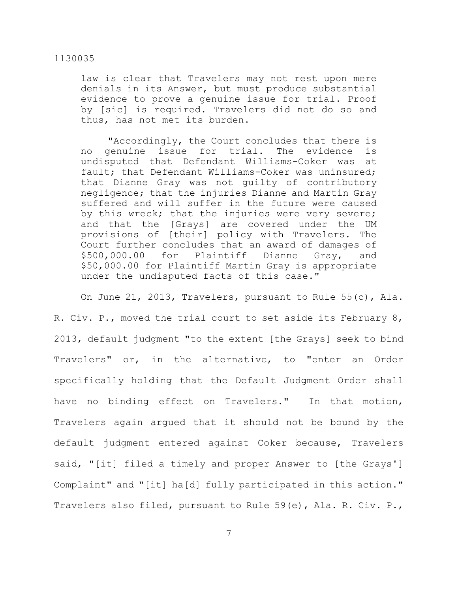law is clear that Travelers may not rest upon mere denials in its Answer, but must produce substantial evidence to prove a genuine issue for trial. Proof by [sic] is required. Travelers did not do so and thus, has not met its burden.

"Accordingly, the Court concludes that there is no genuine issue for trial. The evidence is undisputed that Defendant Williams-Coker was at fault; that Defendant Williams-Coker was uninsured; that Dianne Gray was not guilty of contributory negligence; that the injuries Dianne and Martin Gray suffered and will suffer in the future were caused by this wreck; that the injuries were very severe; and that the [Grays] are covered under the UM provisions of [their] policy with Travelers. The Court further concludes that an award of damages of \$500,000.00 for Plaintiff Dianne Gray, and \$50,000.00 for Plaintiff Martin Gray is appropriate under the undisputed facts of this case."

On June 21, 2013, Travelers, pursuant to Rule 55(c), Ala. R. Civ. P., moved the trial court to set aside its February 8, 2013, default judgment "to the extent [the Grays] seek to bind Travelers" or, in the alternative, to "enter an Order specifically holding that the Default Judgment Order shall have no binding effect on Travelers." In that motion, Travelers again argued that it should not be bound by the default judgment entered against Coker because, Travelers said, "[it] filed a timely and proper Answer to [the Grays'] Complaint" and "[it] ha[d] fully participated in this action." Travelers also filed, pursuant to Rule 59(e), Ala. R. Civ. P.,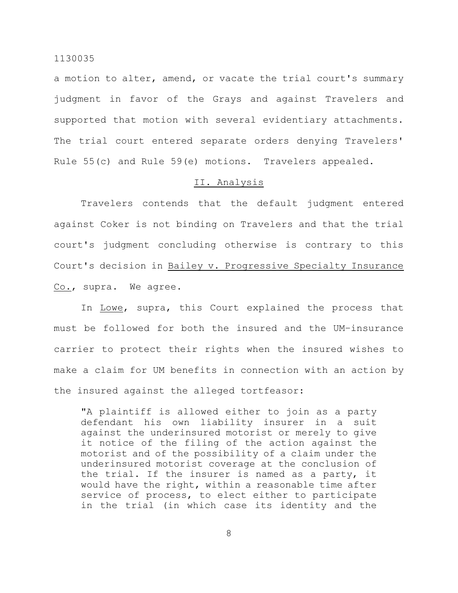a motion to alter, amend, or vacate the trial court's summary judgment in favor of the Grays and against Travelers and supported that motion with several evidentiary attachments. The trial court entered separate orders denying Travelers' Rule 55(c) and Rule 59(e) motions. Travelers appealed.

## II. Analysis

Travelers contends that the default judgment entered against Coker is not binding on Travelers and that the trial court's judgment concluding otherwise is contrary to this Court's decision in Bailey v. Progressive Specialty Insurance Co., supra. We agree.

In Lowe, supra, this Court explained the process that must be followed for both the insured and the UM–insurance carrier to protect their rights when the insured wishes to make a claim for UM benefits in connection with an action by the insured against the alleged tortfeasor:

"A plaintiff is allowed either to join as a party defendant his own liability insurer in a suit against the underinsured motorist or merely to give it notice of the filing of the action against the motorist and of the possibility of a claim under the underinsured motorist coverage at the conclusion of the trial. If the insurer is named as a party, it would have the right, within a reasonable time after service of process, to elect either to participate in the trial (in which case its identity and the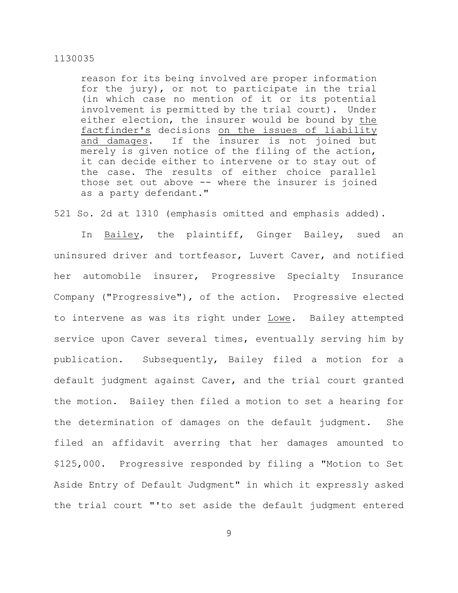reason for its being involved are proper information for the jury), or not to participate in the trial (in which case no mention of it or its potential involvement is permitted by the trial court). Under either election, the insurer would be bound by the factfinder's decisions on the issues of liability and damages. If the insurer is not joined but merely is given notice of the filing of the action, it can decide either to intervene or to stay out of the case. The results of either choice parallel those set out above -- where the insurer is joined as a party defendant."

521 So. 2d at 1310 (emphasis omitted and emphasis added).

In Bailey, the plaintiff, Ginger Bailey, sued an uninsured driver and tortfeasor, Luvert Caver, and notified her automobile insurer, Progressive Specialty Insurance Company ("Progressive"), of the action. Progressive elected to intervene as was its right under Lowe. Bailey attempted service upon Caver several times, eventually serving him by publication. Subsequently, Bailey filed a motion for a default judgment against Caver, and the trial court granted the motion. Bailey then filed a motion to set a hearing for the determination of damages on the default judgment. She filed an affidavit averring that her damages amounted to \$125,000. Progressive responded by filing a "Motion to Set Aside Entry of Default Judgment" in which it expressly asked the trial court "'to set aside the default judgment entered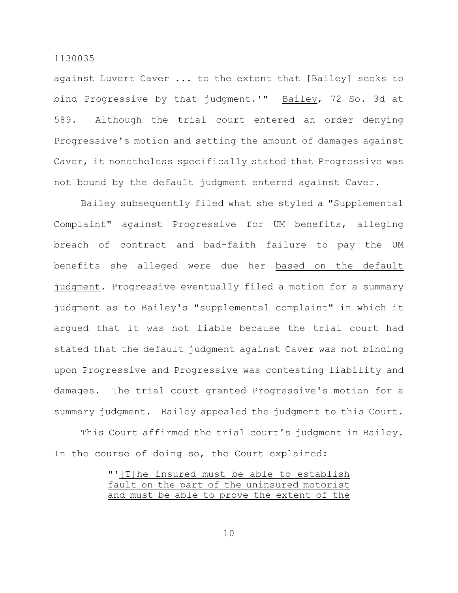against Luvert Caver ... to the extent that [Bailey] seeks to bind Progressive by that judgment.'" Bailey, 72 So. 3d at 589. Although the trial court entered an order denying Progressive's motion and setting the amount of damages against Caver, it nonetheless specifically stated that Progressive was not bound by the default judgment entered against Caver.

Bailey subsequently filed what she styled a "Supplemental Complaint" against Progressive for UM benefits, alleging breach of contract and bad-faith failure to pay the UM benefits she alleged were due her based on the default judgment. Progressive eventually filed a motion for a summary judgment as to Bailey's "supplemental complaint" in which it argued that it was not liable because the trial court had stated that the default judgment against Caver was not binding upon Progressive and Progressive was contesting liability and damages. The trial court granted Progressive's motion for a summary judgment. Bailey appealed the judgment to this Court.

This Court affirmed the trial court's judgment in Bailey. In the course of doing so, the Court explained:

|  |  |  |  | "'[T]he insured must be able to establish   |  |  |
|--|--|--|--|---------------------------------------------|--|--|
|  |  |  |  | fault on the part of the uninsured motorist |  |  |
|  |  |  |  | and must be able to prove the extent of the |  |  |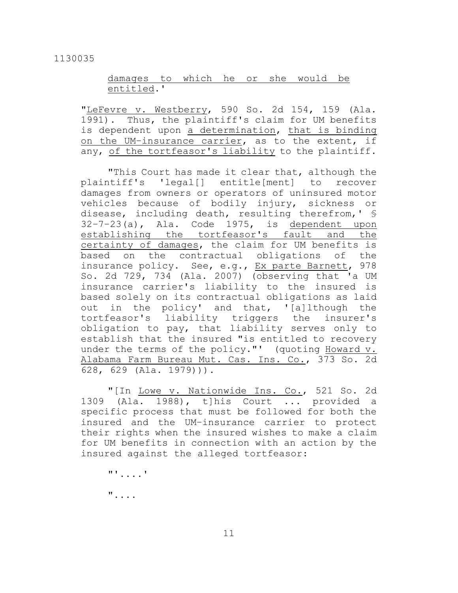## damages to which he or she would be entitled.'

"LeFevre v. Westberry, 590 So. 2d 154, 159 (Ala. 1991). Thus, the plaintiff's claim for UM benefits is dependent upon a determination, that is binding on the UM-insurance carrier, as to the extent, if any, of the tortfeasor's liability to the plaintiff.

"This Court has made it clear that, although the plaintiff's 'legal[] entitle[ment] to recover damages from owners or operators of uninsured motor vehicles because of bodily injury, sickness or disease, including death, resulting therefrom,' § 32–7–23(a), Ala. Code 1975, is dependent upon establishing the tortfeasor's fault and the certainty of damages, the claim for UM benefits is based on the contractual obligations of the insurance policy. See, e.g., Ex parte Barnett, 978 So. 2d 729, 734 (Ala. 2007) (observing that 'a UM insurance carrier's liability to the insured is based solely on its contractual obligations as laid out in the policy' and that, '[a]lthough the tortfeasor's liability triggers the insurer's obligation to pay, that liability serves only to establish that the insured "is entitled to recovery under the terms of the policy."' (quoting Howard v. Alabama Farm Bureau Mut. Cas. Ins. Co., 373 So. 2d 628, 629 (Ala. 1979))).

"[In Lowe v. Nationwide Ins. Co., 521 So. 2d 1309 (Ala. 1988), t]his Court ... provided a specific process that must be followed for both the insured and the UM–insurance carrier to protect their rights when the insured wishes to make a claim for UM benefits in connection with an action by the insured against the alleged tortfeasor:

"'....'

"....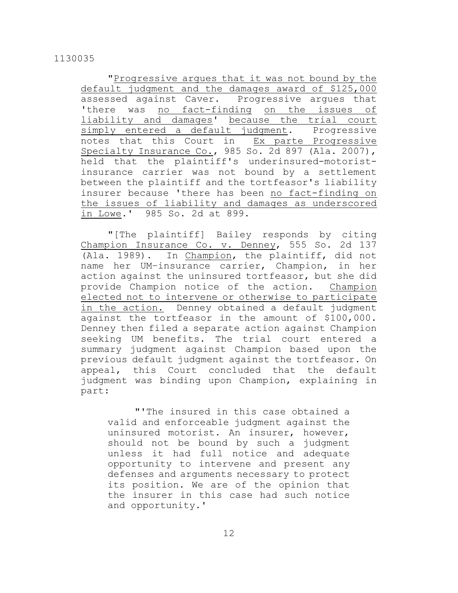"Progressive argues that it was not bound by the default judgment and the damages award of \$125,000 assessed against Caver. Progressive argues that 'there was no fact-finding on the issues of liability and damages' because the trial court simply entered a default judgment. Progressive notes that this Court in Ex parte Progressive Specialty Insurance Co., 985 So. 2d 897 (Ala. 2007), held that the plaintiff's underinsured-motoristinsurance carrier was not bound by a settlement between the plaintiff and the tortfeasor's liability insurer because 'there has been no fact-finding on the issues of liability and damages as underscored in Lowe.' 985 So. 2d at 899.

"[The plaintiff] Bailey responds by citing Champion Insurance Co. v. Denney, 555 So. 2d 137 (Ala. 1989). In Champion, the plaintiff, did not name her UM–insurance carrier, Champion, in her action against the uninsured tortfeasor, but she did provide Champion notice of the action. Champion elected not to intervene or otherwise to participate in the action. Denney obtained a default judgment against the tortfeasor in the amount of \$100,000. Denney then filed a separate action against Champion seeking UM benefits. The trial court entered a summary judgment against Champion based upon the previous default judgment against the tortfeasor. On appeal, this Court concluded that the default judgment was binding upon Champion, explaining in part:

"'The insured in this case obtained a valid and enforceable judgment against the uninsured motorist. An insurer, however, should not be bound by such a judgment unless it had full notice and adequate opportunity to intervene and present any defenses and arguments necessary to protect its position. We are of the opinion that the insurer in this case had such notice and opportunity.'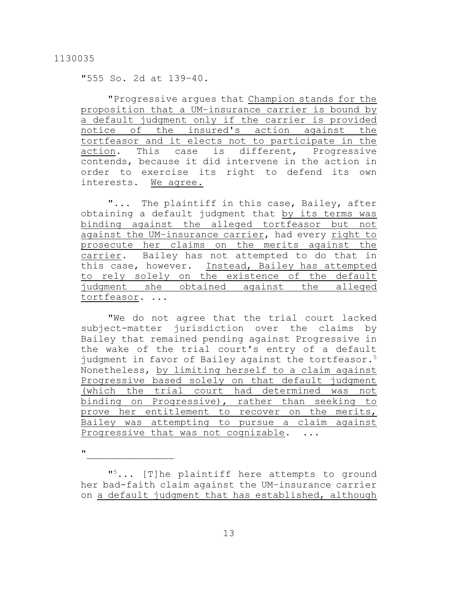"555 So. 2d at 139–40.

"Progressive arques that Champion stands for the proposition that a UM–insurance carrier is bound by a default judgment only if the carrier is provided notice of the insured's action against the tortfeasor and it elects not to participate in the action. This case is different, Progressive contends, because it did intervene in the action in order to exercise its right to defend its own interests. We agree.

"... The plaintiff in this case, Bailey, after obtaining a default judgment that by its terms was binding against the alleged tortfeasor but not against the UM–insurance carrier, had every right to prosecute her claims on the merits against the carrier. Bailey has not attempted to do that in this case, however. Instead, Bailey has attempted to rely solely on the existence of the default judgment she obtained against the alleged tortfeasor. ...

"We do not agree that the trial court lacked subject-matter jurisdiction over the claims by Bailey that remained pending against Progressive in the wake of the trial court's entry of a default judgment in favor of Bailey against the tortfeasor. 5 Nonetheless, by limiting herself to a claim against Progressive based solely on that default judgment (which the trial court had determined was not binding on Progressive), rather than seeking to prove her entitlement to recover on the merits, Bailey was attempting to pursue a claim against Progressive that was not cognizable. ...

 $\mathbf{u}$  and  $\mathbf{v}$  and  $\mathbf{v}$  and  $\mathbf{v}$ 

"<sup>5</sup>... [T] he plaintiff here attempts to ground her bad-faith claim against the UM–insurance carrier on a default judgment that has established, although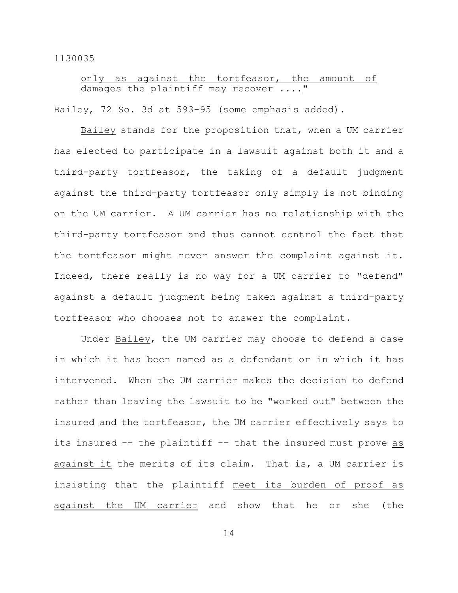# only as against the tortfeasor, the amount of damages the plaintiff may recover

Bailey, 72 So. 3d at 593-95 (some emphasis added).

Bailey stands for the proposition that, when a UM carrier has elected to participate in a lawsuit against both it and a third-party tortfeasor, the taking of a default judgment against the third-party tortfeasor only simply is not binding on the UM carrier. A UM carrier has no relationship with the third-party tortfeasor and thus cannot control the fact that the tortfeasor might never answer the complaint against it. Indeed, there really is no way for a UM carrier to "defend" against a default judgment being taken against a third-party tortfeasor who chooses not to answer the complaint.

Under Bailey, the UM carrier may choose to defend a case in which it has been named as a defendant or in which it has intervened. When the UM carrier makes the decision to defend rather than leaving the lawsuit to be "worked out" between the insured and the tortfeasor, the UM carrier effectively says to its insured -- the plaintiff -- that the insured must prove as against it the merits of its claim. That is, a UM carrier is insisting that the plaintiff meet its burden of proof as against the UM carrier and show that he or she (the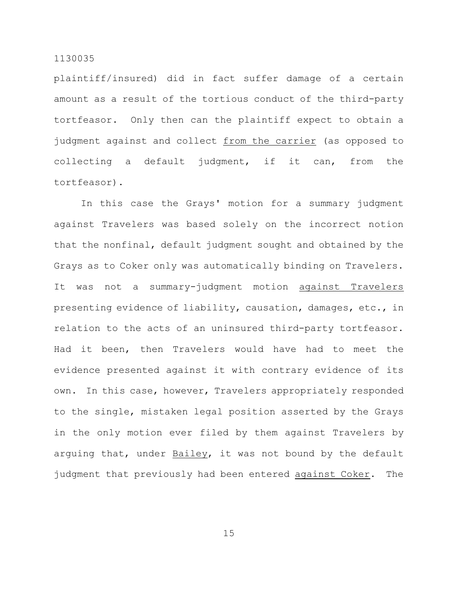plaintiff/insured) did in fact suffer damage of a certain amount as a result of the tortious conduct of the third-party tortfeasor. Only then can the plaintiff expect to obtain a judgment against and collect from the carrier (as opposed to collecting a default judgment, if it can, from the tortfeasor).

In this case the Grays' motion for a summary judgment against Travelers was based solely on the incorrect notion that the nonfinal, default judgment sought and obtained by the Grays as to Coker only was automatically binding on Travelers. It was not a summary-judgment motion against Travelers presenting evidence of liability, causation, damages, etc., in relation to the acts of an uninsured third-party tortfeasor. Had it been, then Travelers would have had to meet the evidence presented against it with contrary evidence of its own. In this case, however, Travelers appropriately responded to the single, mistaken legal position asserted by the Grays in the only motion ever filed by them against Travelers by arguing that, under Bailey, it was not bound by the default judgment that previously had been entered against Coker. The